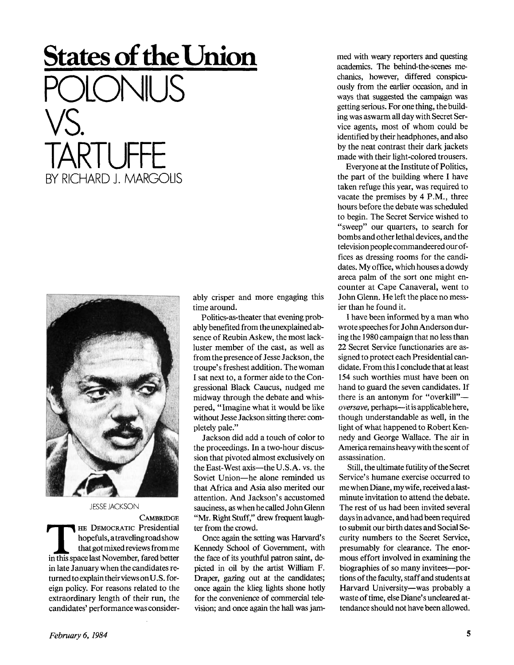## **States of the Union**  POLONIUS VS. TARTUFE BY RICHARD J. MARGOLIS



JESSE JACKSON

**CAMBRIDGE THE DEMOCRATIC Presidential**<br>
hopefuls, a traveling road show<br>
that got mixed reviews from me<br>
in this space last November, fared better HE DEMOCRATIC Presidential hopefuls, atravelingroadshow that got mixed reviews from me in late January when the candidates returned to explain their views onU.S. foreign policy. For reasons related to the extraordinary length of their run, the candidates' performance was considerably crisper and more engaging this time around.

Politics-as-theater that evening probably benefited from the unexplained absence of Reubin Askew, the most lackluster member of the cast, as well as from the presence of Jesse Jackson, the troupe's freshest addition. The woman I sat next to, a former aide to the Congressional Black Caucus, nudged me midway through the debate and whispered, "Imagine what it would be like without Jesse Jackson sitting there: completely pale."

Jackson did add a touch of color to the proceedings. In a two-hour discussion that pivoted almost exclusively on the East-West axis—the U.S.A. vs. the Soviet Union—he alone reminded us that Africa and Asia also merited our attention. And Jackson's accustomed sauciness, as when he called John Glenn "Mr. Right Stuff," drew frequent laughter from the crowd.

Once again the setting was Harvard's Kennedy School of Government, with the face of its youthful patron saint, depicted in oil by the artist William F. Draper, gazing out at the candidates; once again the klieg lights shone hotly for the convenience of commercial television; and once again the hall was jammed with weary reporters and questing academics. The behind-the-scenes mechanics, however, differed conspicuously from the earlier occasion, and in ways that suggested the campaign was getting serious. For one thing, the building was aswarm all day with Secret Service agents, most of whom could be identified by their headphones, and also by the neat contrast their dark jackets made with their light-colored trousers.

Everyone at the Institute of Politics, the part of the building where I have taken refuge this year, was required to vacate the premises by 4 P.M., three hours before the debate was scheduled to begin. The Secret Service wished to "sweep" our quarters, to search for bombs and other lethal devices, and the television people commandeered our offices as dressing rooms for the candidates. My office, which houses a dowdy areca palm of the sort one might encounter at Cape Canaveral, went to John Glenn. He left the place no messier than he found it.

I have been informed by a man who wrote speeches for John Anderson during the 1980 campaign that no less than 22 Secret Service functionaries are assigned to protect each Presidential candidate. From this I conclude that at least 154 such worthies must have been on hand to guard the seven candidates. If there is an antonym for "overkill" *oversave,* perhaps—it is applicable here, though understandable as well, in the light of what happened to Robert Kennedy and George Wallace. The air in America remains heavy with the scent of assassination.

Still, the ultimate futility of the Secret Service's humane exercise occurred to mewhen Diane, my wife, received alastminute invitation to attend the debate. The rest of us had been invited several days in advance, and had been required to submit our birth dates and Social Security numbers to the Secret Service, presumably for clearance. The enormous effort involved in examining the biographies of so many invitees—portions of the faculty, staff and students at Harvard University—was probably a waste of time, else Diane's uncleared attendance should not have been allowed.